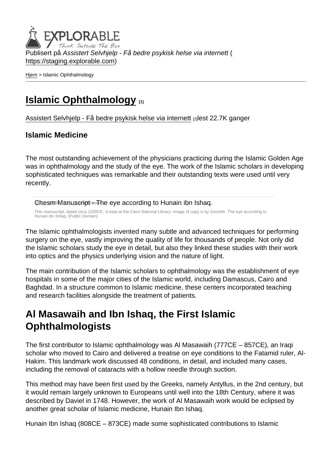Publisert på Assistert Selvhjelp - Få bedre psykisk helse via internett ( <https://staging.explorable.com>)

[Hjem](https://staging.explorable.com/) > Islamic Ophthalmology

### [Islamic Ophthalmology](https://staging.explorable.com/islamic-ophthalmology) [1]

[Assistert Selvhjelp - Få bedre psykisk helse via internett](https://staging.explorable.com/en) [2]lest 22.7K ganger

#### Islamic Medicine

The most outstanding achievement of the physicians practicing during the Islamic Golden Age was in ophthalmology and the study of the eye. The work of the Islamic scholars in developing sophisticated techniques was remarkable and their outstanding texts were used until very recently.

Chesm Manuscript - The eye according to Hunain ibn Ishaq.

This manuscript, dated circa 1200CE, is kept at the Cairo National Library. Image of copy is by Zereshk. The eye according to Hunain ibn Ishaq. (Public Domain)

The Islamic ophthalmologists invented many subtle and advanced techniques for performing surgery on the eye, vastly improving the quality of life for thousands of people. Not only did the Islamic scholars study the eye in detail, but also they linked these studies with their work into optics and the physics underlying vision and the nature of light.

The main contribution of the Islamic scholars to ophthalmology was the establishment of eye hospitals in some of the major cities of the Islamic world, including Damascus, Cairo and Baghdad. In a structure common to Islamic medicine, these centers incorporated teaching and research facilities alongside the treatment of patients.

#### Al Masawaih and Ibn Ishaq, the First Islamic **Ophthalmologists**

The first contributor to Islamic ophthalmology was Al Masawaih (777CE – 857CE), an Iraqi scholar who moved to Cairo and delivered a treatise on eye conditions to the Fatamid ruler, Al-Hakim. This landmark work discussed 48 conditions, in detail, and included many cases, including the removal of cataracts with a hollow needle through suction.

This method may have been first used by the Greeks, namely Antyllus, in the 2nd century, but it would remain largely unknown to Europeans until well into the 18th Century, where it was described by Daviel in 1748. However, the work of Al Masawaih work would be eclipsed by another great scholar of Islamic medicine, Hunain Ibn Ishaq.

Hunain Ibn Ishaq (808CE – 873CE) made some sophisticated contributions to Islamic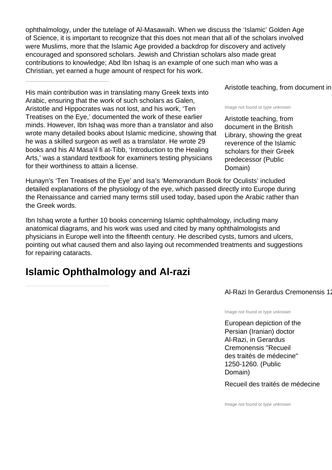ophthalmology, under the tutelage of Al-Masawaih. When we discuss the 'Islamic' Golden Age of Science, it is important to recognize that this does not mean that all of the scholars involved were Muslims, more that the Islamic Age provided a backdrop for discovery and actively encouraged and sponsored scholars. Jewish and Christian scholars also made great contributions to knowledge; Abd Ibn Ishaq is an example of one such man who was a Christian, yet earned a huge amount of respect for his work.

His main contribution was in translating many Greek texts into Arabic, ensuring that the work of such scholars as Galen, Aristotle and Hippocrates was not lost, and his work, 'Ten Treatises on the Eye,' documented the work of these earlier minds. However, Ibn Ishaq was more than a translator and also wrote many detailed books about Islamic medicine, showing that he was a skilled surgeon as well as a translator. He wrote 29 books and his Al Masa'il fi at-Tibb, 'Introduction to the Healing Arts,' was a standard textbook for examiners testing physicians for their worthiness to attain a license.

Hunayn's 'Ten Treatises of the Eye' and Isa's 'Memorandum Book for Oculists' included detailed explanations of the physiology of the eye, which passed directly into Europe during the Renaissance and carried many terms still used today, based upon the Arabic rather than the Greek words.

Ibn Ishaq wrote a further 10 books concerning Islamic ophthalmology, including many anatomical diagrams, and his work was used and cited by many ophthalmologists and physicians in Europe well into the fifteenth century. He described cysts, tumors and ulcers, pointing out what caused them and also laying out recommended treatments and suggestions for repairing cataracts.

#### **Islamic Ophthalmology and Al-razi**

Aristotle teaching, from document in

Image not found or type unknown

Aristotle teaching, from document in the British Library, showing the great reverence of the Islamic scholars for their Greek predecessor (Public Domain)

Al-Razi In Gerardus Cremonensis 12

Image not found or type unknown

European depiction of the Persian (Iranian) doctor Al-Razi, in Gerardus Cremonensis "Recueil des traités de médecine" 1250-1260. (Public Domain)

Recueil des traités de médecine

Image not found or type unknown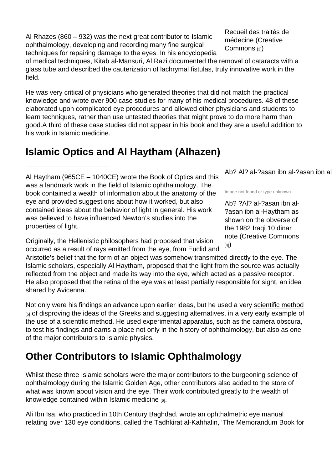Al Rhazes (860 – 932) was the next great contributor to Islamic ophthalmology, developing and recording many fine surgical techniques for repairing damage to the eyes. In his encyclopedia

of medical techniques, Kitab al-Mansuri, Al Razi documented the removal of cataracts with a glass tube and described the cauterization of lachrymal fistulas, truly innovative work in the field.

He was very critical of physicians who generated theories that did not match the practical knowledge and wrote over 900 case studies for many of his medical procedures. 48 of these elaborated upon complicated eye procedures and allowed other physicians and students to learn techniques, rather than use untested theories that might prove to do more harm than good.A third of these case studies did not appear in his book and they are a useful addition to his work in Islamic medicine.

## Islamic Optics and Al Haytham (Alhazen)

Al Haytham (965CE – 1040CE) wrote the Book of Optics and this was a landmark work in the field of Islamic ophthalmology. The book contained a wealth of information about the anatomy of the eye and provided suggestions about how it worked, but also contained ideas about the behavior of light in general. His work was believed to have influenced Newton's studies into the properties of light.

Originally, the Hellenistic philosophers had proposed that vision occurred as a result of rays emitted from the eye, from Euclid and

Aristotle's belief that the form of an object was somehow transmitted directly to the eye. The Islamic scholars, especially Al Haytham, proposed that the light from the source was actually reflected from the object and made its way into the eye, which acted as a passive receptor. He also proposed that the retina of the eye was at least partially responsible for sight, an idea shared by Avicenna.

Not only were his findings an advance upon earlier ideas, but he used a very [scientific method](https://staging.explorable.com/what-is-the-scientific-method)  $[5]$  of disproving the ideas of the Greeks and suggesting alternatives, in a very early example of the use of a scientific method. He used experimental apparatus, such as the camera obscura, to test his findings and earns a place not only in the history of ophthalmology, but also as one of the major contributors to Islamic physics.

# Other Contributors to Islamic Ophthalmology

Whilst these three Islamic scholars were the major contributors to the burgeoning science of ophthalmology during the Islamic Golden Age, other contributors also added to the store of what was known about vision and the eye. Their work contributed greatly to the wealth of knowledge contained within [Islamic medicine](http://en.wikipedia.org/wiki/Medicine_in_medieval_Islam) [6].

Ali Ibn Isa, who practiced in 10th Century Baghdad, wrote an ophthalmetric eye manual relating over 130 eye conditions, called the Tadhkirat al-Kahhalin, 'The Memorandum Book for

Recueil des traités de médecine [\(Creative](http://commons.wikimedia.org/wiki/User:PHGCOM)  [Commons](http://commons.wikimedia.org/wiki/User:PHGCOM) [3])

Ab? Al? al-?asan ibn al-?asan ibn al

Image not found or type unknown

Ab? ?Al? al-?asan ibn al- ?asan ibn al-Haytham as shown on the obverse of the 1982 Iraqi 10 dinar note ([Creative Commons](http://commons.wikimedia.org/wiki/User:Wronkiew)  $[4]$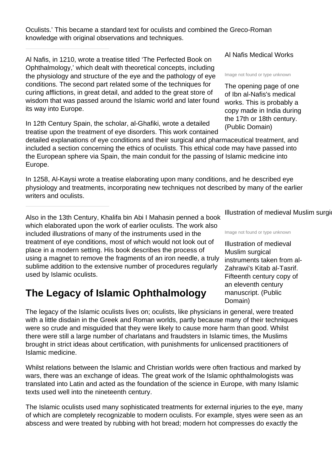Oculists.' This became a standard text for oculists and combined the Greco-Roman knowledge with original observations and techniques.

Al Nafis, in 1210, wrote a treatise titled 'The Perfected Book on Ophthalmology,' which dealt with theoretical concepts, including the physiology and structure of the eye and the pathology of eye conditions. The second part related some of the techniques for curing afflictions, in great detail, and added to the great store of wisdom that was passed around the Islamic world and later found its way into Europe.

In 12th Century Spain, the scholar, al-Ghafiki, wrote a detailed treatise upon the treatment of eye disorders. This work contained

detailed explanations of eye conditions and their surgical and pharmaceutical treatment, and included a section concerning the ethics of oculists. This ethical code may have passed into the European sphere via Spain, the main conduit for the passing of Islamic medicine into Europe.

In 1258, Al-Kaysi wrote a treatise elaborating upon many conditions, and he described eye physiology and treatments, incorporating new techniques not described by many of the earlier writers and oculists.

Also in the 13th Century, Khalifa bin Abi I Mahasin penned a book which elaborated upon the work of earlier oculists. The work also included illustrations of many of the instruments used in the treatment of eye conditions, most of which would not look out of place in a modern setting. His book describes the process of using a magnet to remove the fragments of an iron needle, a truly sublime addition to the extensive number of procedures regularly used by Islamic oculists.

## **The Legacy of Islamic Ophthalmology**

The legacy of the Islamic oculists lives on; oculists, like physicians in general, were treated with a little disdain in the Greek and Roman worlds, partly because many of their techniques were so crude and misguided that they were likely to cause more harm than good. Whilst there were still a large number of charlatans and fraudsters in Islamic times, the Muslims brought in strict ideas about certification, with punishments for unlicensed practitioners of Islamic medicine.

Whilst relations between the Islamic and Christian worlds were often fractious and marked by wars, there was an exchange of ideas. The great work of the Islamic ophthalmologists was translated into Latin and acted as the foundation of the science in Europe, with many Islamic texts used well into the nineteenth century.

The Islamic oculists used many sophisticated treatments for external injuries to the eye, many of which are completely recognizable to modern oculists. For example, styes were seen as an abscess and were treated by rubbing with hot bread; modern hot compresses do exactly the

Al Nafis Medical Works

Image not found or type unknown

The opening page of one of Ibn al-Nafis's medical works. This is probably a copy made in India during the 17th or 18th century. (Public Domain)

Illustration of medieval Muslim surgical

Image not found or type unknown

Illustration of medieval Muslim surgical instruments taken from al-Zahrawi's Kitab al-Tasrif. Fifteenth century copy of an eleventh century manuscript. (Public Domain)